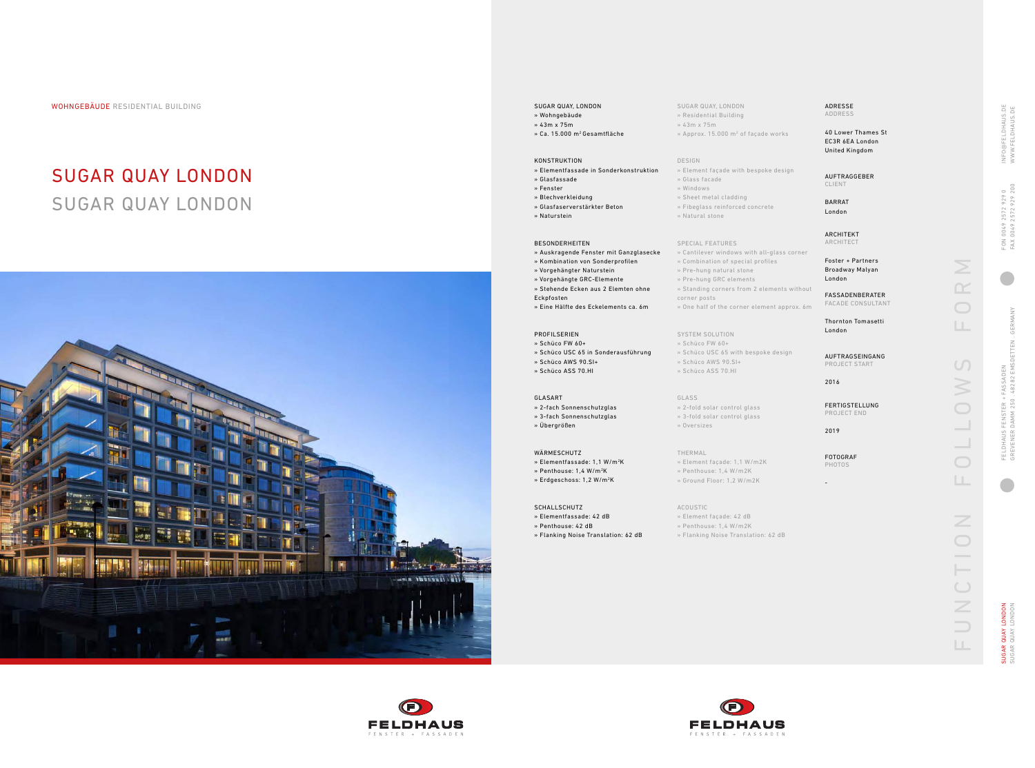- SUGAR QUAY, LONDON » Residential Building
- » 43m x 75m
- » Approx. 15.000 m 2 of façade works

#### DESIGN

» Element façade with bespoke design

## » Glass facade

- » Windows
- » Sheet metal cladding
- » Fibeglass reinforced concrete » Natural stone
- 

#### SPECIAL FEATURES

- » Cantilever windows with all-glass corner
- » Combination of special profiles
- » Pre-hung natural stone
- » Pre-hung GRC elements
- » Standing corners from 2 elements without corner posts
- » One half of the corner element approx. 6m

IUGAR QUAY LONDON<br>IUGAR QUAY LONDON SUGAR QUAY LONDON SUGAR QUAY LONDON

# SYSTEM SOLUTION

- » Schüco FW 60+
- » Schüco USC 65 with bespoke design
- » Schüco AWS 90.SI+
- » Schüco ASS 70.HI

# GLASS

- » 2-fold solar control glass » 3-fold solar control glass
- » Oversizes

## THERMAL

- » Element façade: 1,1 W/m2K
- » Penthouse: 1,4 W/m2K
- » Ground Floor: 1,2 W/m2K

### ACOUSTIC

- » Element façade: 42 dB
- » Penthouse: 1,4 W/m2K
- » Flanking Noise Translation: 62 dB





WOHNGEBÄUDE RESIDENTIAL BUILDING SUGAR AUSTRALISMENT SUGAR QUAY, LONDON

# SUGAR QUAY LONDON SUGAR QUAY LONDON



- » Wohngebäude
- » 43m x 75m
- » Ca. 15.000 m2 Gesamtfläche

#### KONSTRUKTION

- » Elementfassade in Sonderkonstruktion
- » Glasfassade
- » Fenster » Blechverkleidung
- » Glasfaserverstärkter Beton
- » Naturstein
- 

#### BESONDERHEITEN

- » Auskragende Fenster mit Ganzglasecke
- » Kombination von Sonderprofilen
- » Vorgehängter Naturstein
- » Vorgehängte GRC-Elemente
- » Stehende Ecken aus 2 Elemten ohne
- Eckpfosten » Eine Hälfte des Eckelements ca. 6m

# PROFILSERIEN

- » Schüco FW 60+
- » Schüco USC 65 in Sonderausführung » Schüco AWS 90.SI+
- » Schüco ASS 70.HI

## GLASART

» 2-fach Sonnenschutzglas

- » 3-fach Sonnenschutzglas
- » Übergrößen

### WÄRMESCHUTZ

- » Elementfassade: 1,1 W/m 2 K
- » Penthouse: 1,4 W/m 2 K
- 
- 
- 
- 
- » Elementfassade: 42 dB
- 
- 
- » Erdgeschoss: 1,2 W/m 2 K **SCHALLSCHUTZ** 
	- » Penthouse: 42 dB
	- » Flanking Noise Translation: 62 dB

ADRESSE ADDRESS

40 Lower Thames St EC3R 6EA London United Kingdom

AUFTRAGGEBER CLIENT

BARRAT London

ARCHITEKT ARCHITECT

Foster + Partners Broadway Malyan London

FASSADENBERATER FACADE CONSULTANT

Thornton Tomasetti London

AUFTRAGSEINGANG PROJECT START

2016

FERTIGSTELLUNG PROJECT END

2019

FOTOGRAF PHOTOS

 $\geq$ FUNCTION FOLLOWS FORM  $\bigcirc$ LL.  $\cup$  $\geqslant$  $\bigcirc$  $\bigcirc$ LL.  $\overline{Z}$  $\bigcirc$ CTI  $\overline{z}$  $\Rightarrow$  $\Box$ 

NFO@FELDHAUS.DE<br>WWW.FELDHAUS.DE INFO@FELDHAUS.DE WWW.FELDHAUS.DE 4 0049 2572 929 0<br>(0049 2572 929 200 FAX 0049 2572 929 200 FON 0049 2572 929 0 FON<br>FAX I  $\blacksquare$ GREVENER DAMM 250 . 48282 EMSDETTEN . GERMANY GFRMA FASSADEN<br>48282 EMSDETTEN FELDHAUS FENSTER + FASSADEN FELDHAUS FENSTER +<br>GREVENER DAMM 250

-